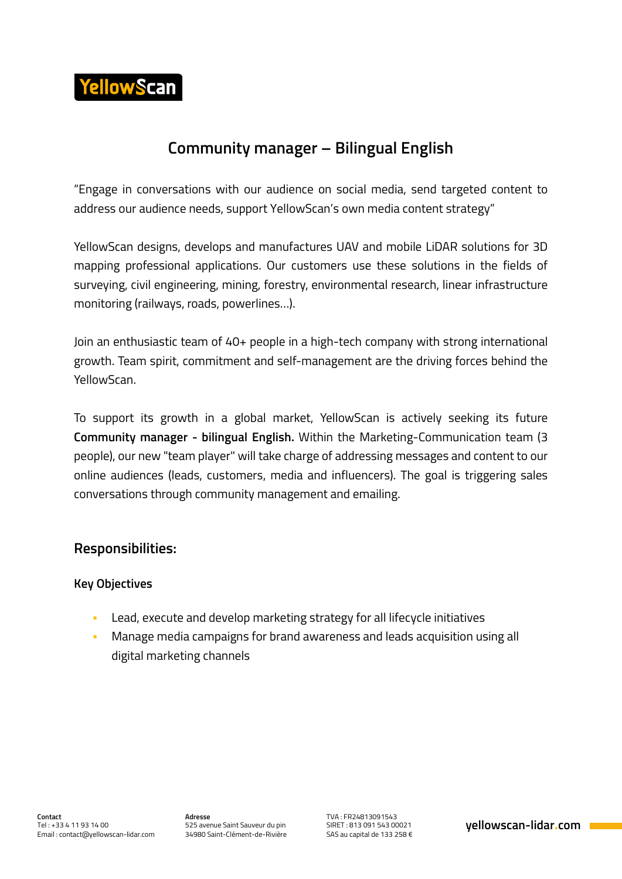

# **Community manager – Bilingual English**

"Engage in conversations with our audience on social media, send targeted content to address our audience needs, support YellowScan's own media content strategy"

YellowScan designs, develops and manufactures UAV and mobile LiDAR solutions for 3D mapping professional applications. Our customers use these solutions in the fields of surveying, civil engineering, mining, forestry, environmental research, linear infrastructure monitoring (railways, roads, powerlines…).

Join an enthusiastic team of 40+ people in a high-tech company with strong international growth. Team spirit, commitment and self-management are the driving forces behind the YellowScan.

To support its growth in a global market, YellowScan is actively seeking its future **Community manager - bilingual English.** Within the Marketing-Communication team (3 people), our new "team player" will take charge of addressing messages and content to our online audiences (leads, customers, media and influencers). The goal is triggering sales conversations through community management and emailing.

# **Responsibilities:**

#### **Key Objectives**

- Lead, execute and develop marketing strategy for all lifecycle initiatives
- Manage media campaigns for brand awareness and leads acquisition using all digital marketing channels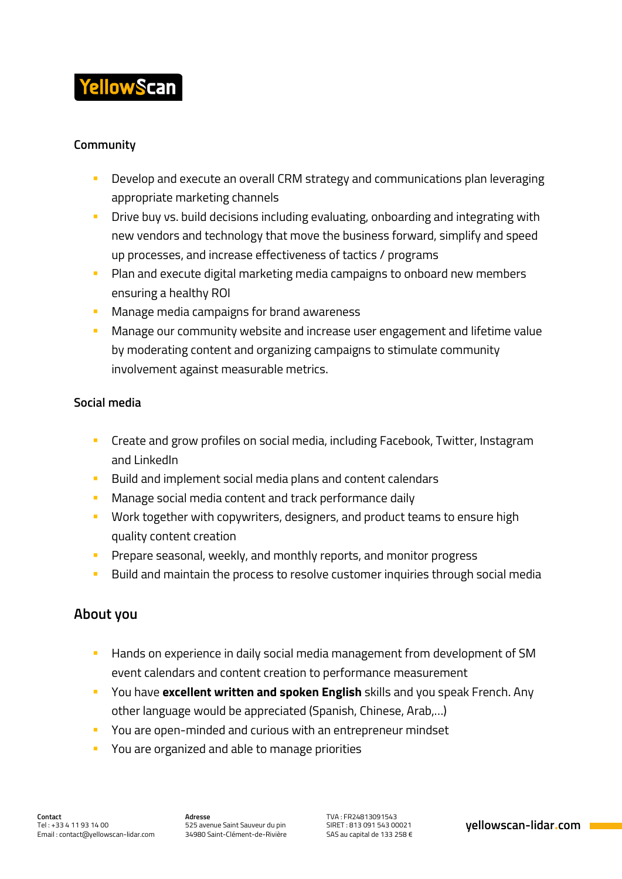

### **Community**

- **Develop and execute an overall CRM strategy and communications plan leveraging** appropriate marketing channels
- **Drive buy vs. build decisions including evaluating, onboarding and integrating with** new vendors and technology that move the business forward, simplify and speed up processes, and increase effectiveness of tactics / programs
- **Plan and execute digital marketing media campaigns to onboard new members** ensuring a healthy ROI
- **Manage media campaigns for brand awareness**
- **Manage our community website and increase user engagement and lifetime value** by moderating content and organizing campaigns to stimulate community involvement against measurable metrics.

#### **Social media**

- **EXP** Create and grow profiles on social media, including Facebook, Twitter, Instagram and LinkedIn
- **Build and implement social media plans and content calendars**
- **Manage social media content and track performance daily**
- **Work together with copywriters, designers, and product teams to ensure high** quality content creation
- **Prepare seasonal, weekly, and monthly reports, and monitor progress**
- **Build and maintain the process to resolve customer inquiries through social media**

## **About you**

- **Hands on experience in daily social media management from development of SM** event calendars and content creation to performance measurement
- You have **excellent written and spoken English** skills and you speak French. Any other language would be appreciated (Spanish, Chinese, Arab,…)
- **P** You are open-minded and curious with an entrepreneur mindset
- **P** You are organized and able to manage priorities

**Adresse** 525 avenue Saint Sauveur du pin 34980 Saint-Clément-de-Rivière TVA : FR24813091543 SIRET : 813 091 543 00021 SAS au capital de 133 258 €